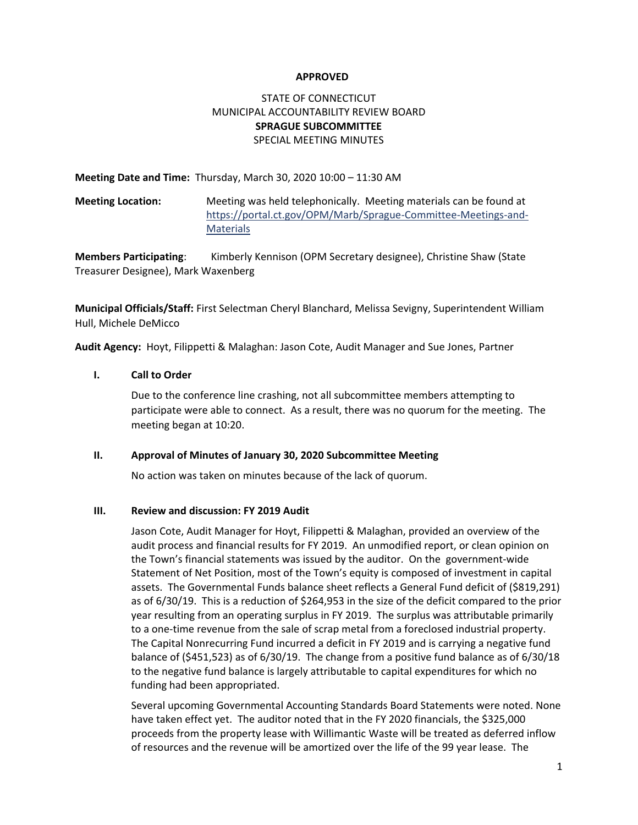### **APPROVED**

# STATE OF CONNECTICUT MUNICIPAL ACCOUNTABILITY REVIEW BOARD **SPRAGUE SUBCOMMITTEE**  SPECIAL MEETING MINUTES

**Meeting Date and Time:** Thursday, March 30, 2020 10:00 – 11:30 AM

**Meeting Location:** Meeting was held telephonically. Meeting materials can be found at [https://portal.ct.gov/OPM/Marb/Sprague-Committee-Meetings-and-](https://portal.ct.gov/OPM/Marb/Sprague-Committee-Meetings-and-Materials)**[Materials](https://portal.ct.gov/OPM/Marb/Sprague-Committee-Meetings-and-Materials)** 

**Members Participating**: Kimberly Kennison (OPM Secretary designee), Christine Shaw (State Treasurer Designee), Mark Waxenberg

**Municipal Officials/Staff:** First Selectman Cheryl Blanchard, Melissa Sevigny, Superintendent William Hull, Michele DeMicco

**Audit Agency:** Hoyt, Filippetti & Malaghan: Jason Cote, Audit Manager and Sue Jones, Partner

**I. Call to Order**

Due to the conference line crashing, not all subcommittee members attempting to participate were able to connect. As a result, there was no quorum for the meeting. The meeting began at 10:20.

### **II. Approval of Minutes of January 30, 2020 Subcommittee Meeting**

No action was taken on minutes because of the lack of quorum.

### **III. Review and discussion: FY 2019 Audit**

Jason Cote, Audit Manager for Hoyt, Filippetti & Malaghan, provided an overview of the audit process and financial results for FY 2019. An unmodified report, or clean opinion on the Town's financial statements was issued by the auditor. On the government-wide Statement of Net Position, most of the Town's equity is composed of investment in capital assets. The Governmental Funds balance sheet reflects a General Fund deficit of (\$819,291) as of 6/30/19. This is a reduction of \$264,953 in the size of the deficit compared to the prior year resulting from an operating surplus in FY 2019. The surplus was attributable primarily to a one-time revenue from the sale of scrap metal from a foreclosed industrial property. The Capital Nonrecurring Fund incurred a deficit in FY 2019 and is carrying a negative fund balance of (\$451,523) as of 6/30/19. The change from a positive fund balance as of 6/30/18 to the negative fund balance is largely attributable to capital expenditures for which no funding had been appropriated.

Several upcoming Governmental Accounting Standards Board Statements were noted. None have taken effect yet. The auditor noted that in the FY 2020 financials, the \$325,000 proceeds from the property lease with Willimantic Waste will be treated as deferred inflow of resources and the revenue will be amortized over the life of the 99 year lease. The